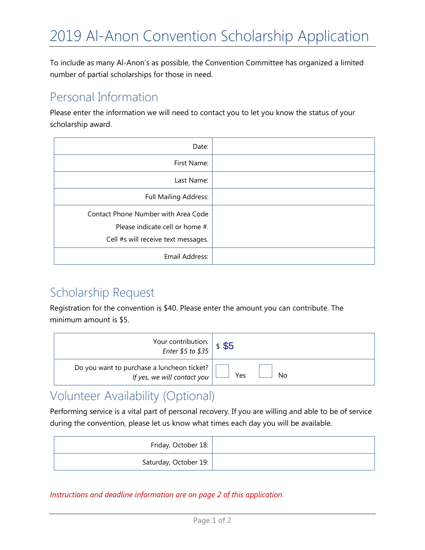To include as many Al-Anon's as possible, the Convention Committee has organized a limited number of partial scholarships for those in need.

## Personal Information

Please enter the information we will need to contact you to let you know the status of your scholarship award.

| Date:                                                                                                         |  |
|---------------------------------------------------------------------------------------------------------------|--|
| First Name:                                                                                                   |  |
| Last Name:                                                                                                    |  |
| <b>Full Mailing Address:</b>                                                                                  |  |
| Contact Phone Number with Area Code<br>Please indicate cell or home #.<br>Cell #s will receive text messages. |  |
| Email Address:                                                                                                |  |

### Scholarship Request

Registration for the convention is \$40. Please enter the amount you can contribute. The minimum amount is \$5.

| Your contribution: $\left  \begin{array}{c} \text{$\$5$} \\ \text{Enter $5$ to $35$} \end{array} \right $ \$ \$5 |     |
|------------------------------------------------------------------------------------------------------------------|-----|
| Do you want to purchase a luncheon ticket?                                                                       | Yes |
| If yes, we will contact you                                                                                      | Nο  |

### Volunteer Availability (Optional)

Performing service is a vital part of personal recovery. If you are willing and able to be of service during the convention, please let us know what times each day you will be available.

| Friday, October 18:   |
|-----------------------|
| Saturday, October 19: |

*Instructions and deadline information are on page 2 of this application.*